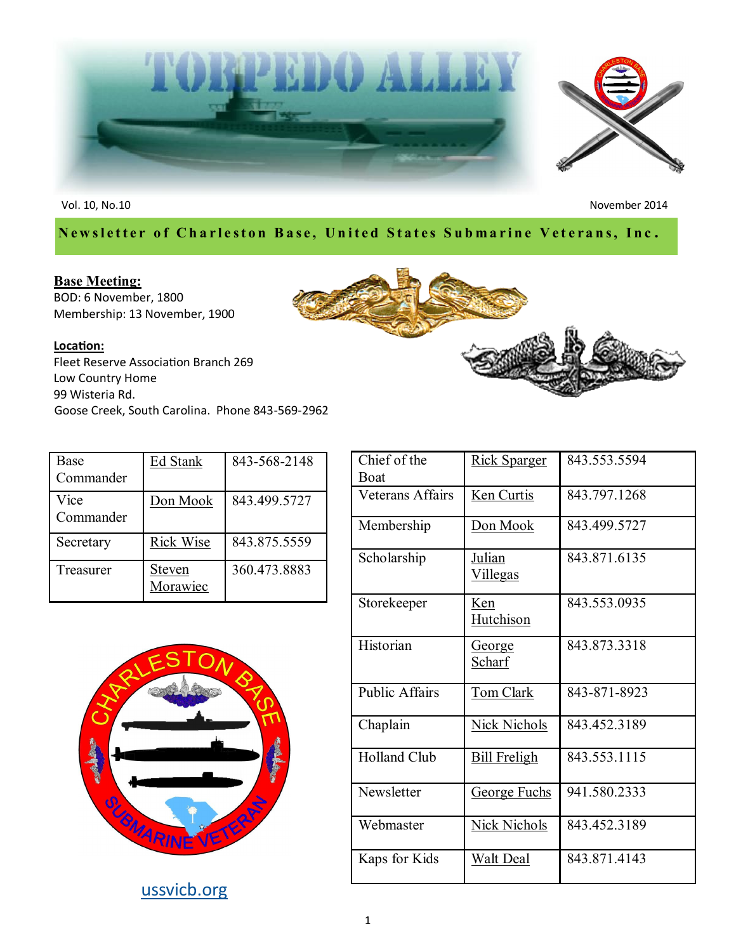

Vol. 10, No.10 November 2014

# **Newsletter of Charleston Base, United States Submarine Veterans, Inc.**

#### **Base Meeting:**

BOD: 6 November, 1800 Membership: 13 November, 1900

#### **Location:**

Fleet Reserve Association Branch 269 Low Country Home 99 Wisteria Rd. Goose Creek, South Carolina. Phone 843-569-2962

| Base<br>Commander | <b>Ed Stank</b>    | 843-568-2148 |
|-------------------|--------------------|--------------|
| Vice<br>Commander | Don Mook           | 843.499.5727 |
| Secretary         | <b>Rick Wise</b>   | 843.875.5559 |
| Treasurer         | Steven<br>Morawiec | 360.473.8883 |



[ussvicb.org](http://www.ussvicb.org/)

| Chief of the<br>Boat  | <u>Rick Sparger</u>              | 843.553.5594 |
|-----------------------|----------------------------------|--------------|
| Veterans Affairs      | <u>Ken Curtis</u>                | 843.797.1268 |
| Membership            | Don Mook                         | 843.499.5727 |
| Scholarship           | <u>Julian</u><br><u>Villegas</u> | 843.871.6135 |
| Storekeeper           | Ken<br><b>Hutchison</b>          | 843.553.0935 |
| Historian             | <u>George</u><br>Scharf          | 843.873.3318 |
| <b>Public Affairs</b> | Tom Clark                        | 843-871-8923 |
| Chaplain              | Nick Nichols                     | 843.452.3189 |
| <b>Holland Club</b>   | <b>Bill Freligh</b>              | 843.553.1115 |
| Newsletter            | <b>George Fuchs</b>              | 941.580.2333 |
| Webmaster             | <b>Nick Nichols</b>              | 843.452.3189 |
| Kaps for Kids         | <b>Walt Deal</b>                 | 843.871.4143 |

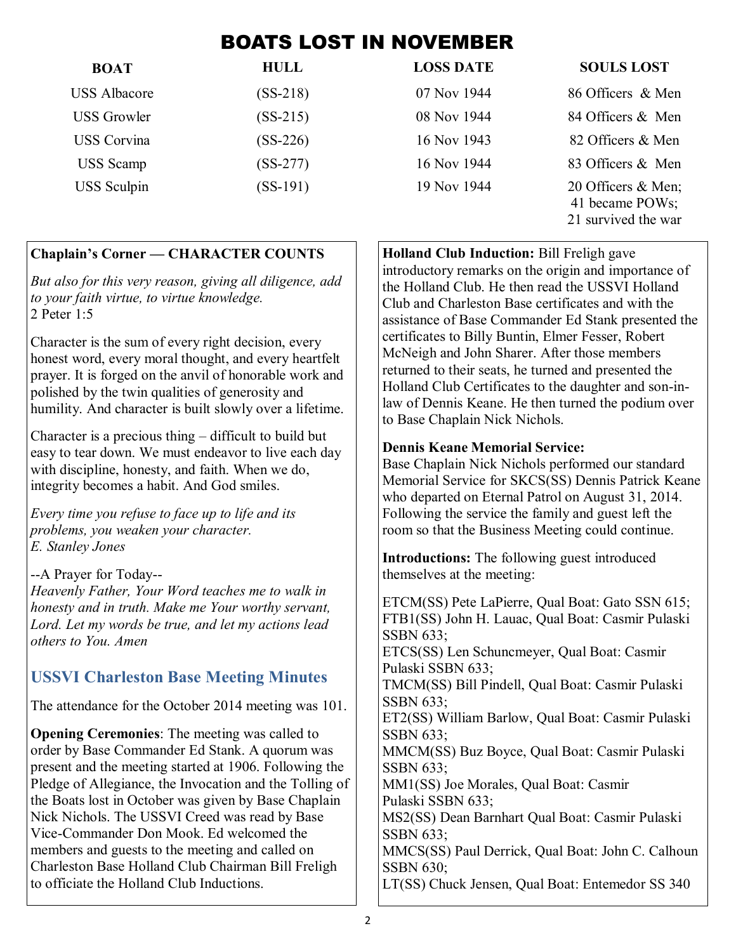# BOATS LOST IN NOVEMBER

| <b>BOAT</b>         | <b>HULL</b> | <b>LOSS DATE</b> | <b>SOULS LOST</b>                                            |
|---------------------|-------------|------------------|--------------------------------------------------------------|
| <b>USS Albacore</b> | $(SS-218)$  | 07 Nov 1944      | 86 Officers & Men                                            |
| <b>USS Growler</b>  | $(SS-215)$  | 08 Nov 1944      | 84 Officers & Men                                            |
| <b>USS</b> Corvina  | $(SS-226)$  | 16 Nov 1943      | 82 Officers & Men                                            |
| <b>USS</b> Scamp    | $(SS-277)$  | 16 Nov 1944      | 83 Officers & Men                                            |
| <b>USS</b> Sculpin  | $(SS-191)$  | 19 Nov 1944      | 20 Officers & Men;<br>41 became POWs;<br>21 survived the war |

### **Chaplain's Corner — CHARACTER COUNTS**

*But also for this very reason, giving all diligence, add to your faith virtue, to virtue knowledge.* 2 Peter 1:5

Character is the sum of every right decision, every honest word, every moral thought, and every heartfelt prayer. It is forged on the anvil of honorable work and polished by the twin qualities of generosity and humility. And character is built slowly over a lifetime.

Character is a precious thing – difficult to build but easy to tear down. We must endeavor to live each day with discipline, honesty, and faith. When we do, integrity becomes a habit. And God smiles.

*Every time you refuse to face up to life and its problems, you weaken your character. E. Stanley Jones*

--A Prayer for Today--

*Heavenly Father, Your Word teaches me to walk in honesty and in truth. Make me Your worthy servant, Lord. Let my words be true, and let my actions lead others to You. Amen*

# **USSVI Charleston Base Meeting Minutes**

The attendance for the October 2014 meeting was 101.

**Opening Ceremonies**: The meeting was called to order by Base Commander Ed Stank. A quorum was present and the meeting started at 1906. Following the Pledge of Allegiance, the Invocation and the Tolling of the Boats lost in October was given by Base Chaplain Nick Nichols. The USSVI Creed was read by Base Vice-Commander Don Mook. Ed welcomed the members and guests to the meeting and called on Charleston Base Holland Club Chairman Bill Freligh to officiate the Holland Club Inductions.

**Holland Club Induction:** Bill Freligh gave introductory remarks on the origin and importance of the Holland Club. He then read the USSVI Holland Club and Charleston Base certificates and with the assistance of Base Commander Ed Stank presented the certificates to Billy Buntin, Elmer Fesser, Robert McNeigh and John Sharer. After those members returned to their seats, he turned and presented the Holland Club Certificates to the daughter and son-inlaw of Dennis Keane. He then turned the podium over to Base Chaplain Nick Nichols.

### **Dennis Keane Memorial Service:**

Base Chaplain Nick Nichols performed our standard Memorial Service for SKCS(SS) Dennis Patrick Keane who departed on Eternal Patrol on August 31, 2014. Following the service the family and guest left the room so that the Business Meeting could continue.

**Introductions:** The following guest introduced themselves at the meeting:

ETCM(SS) Pete LaPierre, Qual Boat: Gato SSN 615; FTB1(SS) John H. Lauac, Qual Boat: Casmir Pulaski SSBN 633; ETCS(SS) Len Schuncmeyer, Qual Boat: Casmir Pulaski SSBN 633; TMCM(SS) Bill Pindell, Qual Boat: Casmir Pulaski SSBN 633; ET2(SS) William Barlow, Qual Boat: Casmir Pulaski SSBN 633; MMCM(SS) Buz Boyce, Qual Boat: Casmir Pulaski SSBN 633; MM1(SS) Joe Morales, Qual Boat: Casmir Pulaski SSBN 633; MS2(SS) Dean Barnhart Qual Boat: Casmir Pulaski SSBN 633; MMCS(SS) Paul Derrick, Qual Boat: John C. Calhoun SSBN 630; LT(SS) Chuck Jensen, Qual Boat: Entemedor SS 340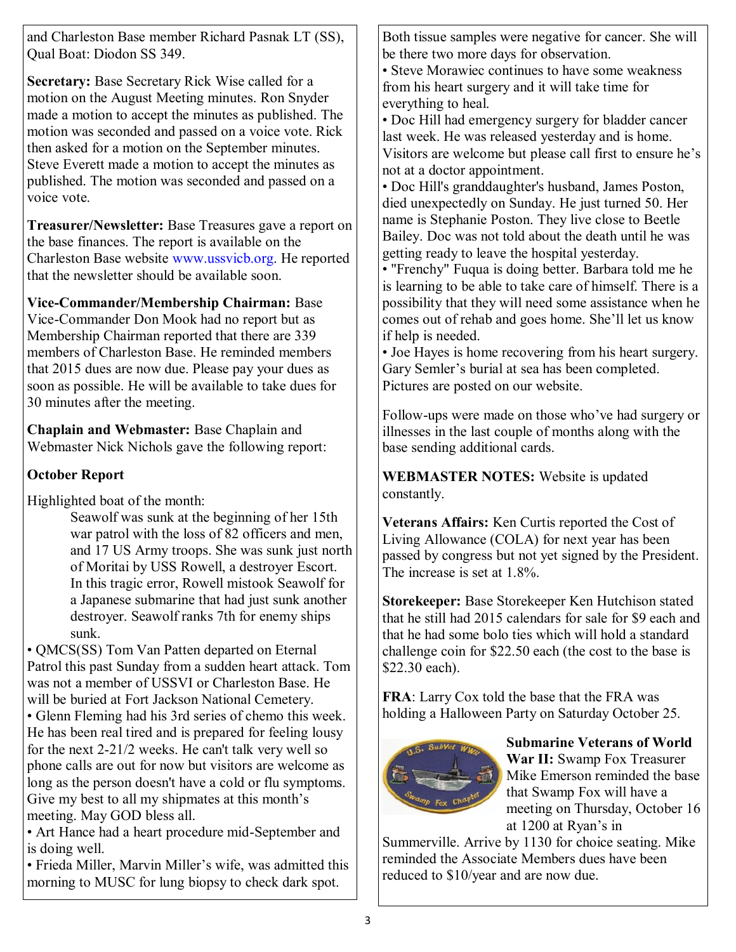and Charleston Base member Richard Pasnak LT (SS), Qual Boat: Diodon SS 349.

**Secretary:** Base Secretary Rick Wise called for a motion on the August Meeting minutes. Ron Snyder made a motion to accept the minutes as published. The motion was seconded and passed on a voice vote. Rick then asked for a motion on the September minutes. Steve Everett made a motion to accept the minutes as published. The motion was seconded and passed on a voice vote.

**Treasurer/Newsletter:** Base Treasures gave a report on the base finances. The report is available on the Charleston Base website www.ussvicb.org. He reported that the newsletter should be available soon.

**Vice-Commander/Membership Chairman:** Base Vice-Commander Don Mook had no report but as Membership Chairman reported that there are 339 members of Charleston Base. He reminded members that 2015 dues are now due. Please pay your dues as soon as possible. He will be available to take dues for 30 minutes after the meeting.

**Chaplain and Webmaster:** Base Chaplain and Webmaster Nick Nichols gave the following report:

### **October Report**

Highlighted boat of the month:

Seawolf was sunk at the beginning of her 15th war patrol with the loss of 82 officers and men, and 17 US Army troops. She was sunk just north of Moritai by USS Rowell, a destroyer Escort. In this tragic error, Rowell mistook Seawolf for a Japanese submarine that had just sunk another destroyer. Seawolf ranks 7th for enemy ships sunk.

• QMCS(SS) Tom Van Patten departed on Eternal Patrol this past Sunday from a sudden heart attack. Tom was not a member of USSVI or Charleston Base. He will be buried at Fort Jackson National Cemetery. • Glenn Fleming had his 3rd series of chemo this week. He has been real tired and is prepared for feeling lousy for the next 2-21/2 weeks. He can't talk very well so phone calls are out for now but visitors are welcome as long as the person doesn't have a cold or flu symptoms. Give my best to all my shipmates at this month's meeting. May GOD bless all.

• Art Hance had a heart procedure mid-September and is doing well.

• Frieda Miller, Marvin Miller's wife, was admitted this morning to MUSC for lung biopsy to check dark spot.

Both tissue samples were negative for cancer. She will be there two more days for observation.

• Steve Morawiec continues to have some weakness from his heart surgery and it will take time for everything to heal.

• Doc Hill had emergency surgery for bladder cancer last week. He was released yesterday and is home. Visitors are welcome but please call first to ensure he's not at a doctor appointment.

• Doc Hill's granddaughter's husband, James Poston, died unexpectedly on Sunday. He just turned 50. Her name is Stephanie Poston. They live close to Beetle Bailey. Doc was not told about the death until he was getting ready to leave the hospital yesterday.

• "Frenchy" Fuqua is doing better. Barbara told me he is learning to be able to take care of himself. There is a possibility that they will need some assistance when he comes out of rehab and goes home. She'll let us know if help is needed.

• Joe Hayes is home recovering from his heart surgery. Gary Semler's burial at sea has been completed. Pictures are posted on our website.

Follow-ups were made on those who've had surgery or illnesses in the last couple of months along with the base sending additional cards.

**WEBMASTER NOTES:** Website is updated constantly.

**Veterans Affairs:** Ken Curtis reported the Cost of Living Allowance (COLA) for next year has been passed by congress but not yet signed by the President. The increase is set at 1.8%.

**Storekeeper:** Base Storekeeper Ken Hutchison stated that he still had 2015 calendars for sale for \$9 each and that he had some bolo ties which will hold a standard challenge coin for \$22.50 each (the cost to the base is \$22.30 each).

**FRA**: Larry Cox told the base that the FRA was holding a Halloween Party on Saturday October 25.



**Submarine Veterans of World War II:** Swamp Fox Treasurer Mike Emerson reminded the base that Swamp Fox will have a meeting on Thursday, October 16 at 1200 at Ryan's in

Summerville. Arrive by 1130 for choice seating. Mike reminded the Associate Members dues have been reduced to \$10/year and are now due.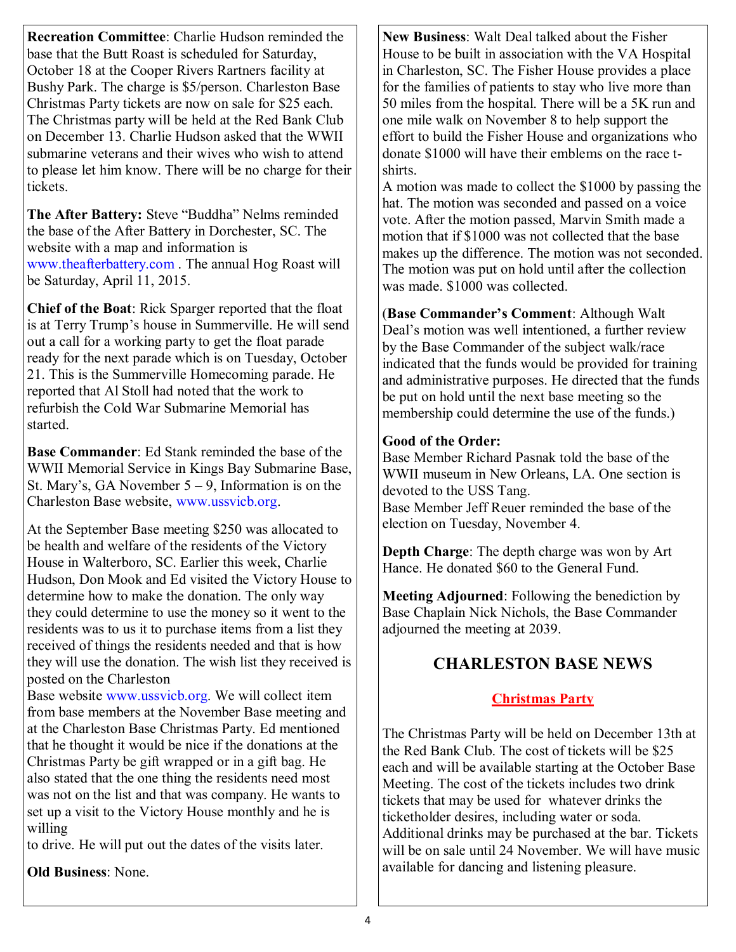**Recreation Committee**: Charlie Hudson reminded the base that the Butt Roast is scheduled for Saturday, October 18 at the Cooper Rivers Rartners facility at Bushy Park. The charge is \$5/person. Charleston Base Christmas Party tickets are now on sale for \$25 each. The Christmas party will be held at the Red Bank Club on December 13. Charlie Hudson asked that the WWII submarine veterans and their wives who wish to attend to please let him know. There will be no charge for their tickets.

The After Battery: Steve "Buddha" Nelms reminded the base of the After Battery in Dorchester, SC. The website with a map and information is www.theafterbattery.com . The annual Hog Roast will be Saturday, April 11, 2015.

**Chief of the Boat**: Rick Sparger reported that the float is at Terry Trump's house in Summerville. He will send out a call for a working party to get the float parade ready for the next parade which is on Tuesday, October 21. This is the Summerville Homecoming parade. He reported that Al Stoll had noted that the work to refurbish the Cold War Submarine Memorial has started.

**Base Commander**: Ed Stank reminded the base of the WWII Memorial Service in Kings Bay Submarine Base, St. Mary's, GA November  $5 - 9$ , Information is on the Charleston Base website, www.ussvicb.org.

At the September Base meeting \$250 was allocated to be health and welfare of the residents of the Victory House in Walterboro, SC. Earlier this week, Charlie Hudson, Don Mook and Ed visited the Victory House to determine how to make the donation. The only way they could determine to use the money so it went to the residents was to us it to purchase items from a list they received of things the residents needed and that is how they will use the donation. The wish list they received is posted on the Charleston

Base website www.ussvicb.org. We will collect item from base members at the November Base meeting and at the Charleston Base Christmas Party. Ed mentioned that he thought it would be nice if the donations at the Christmas Party be gift wrapped or in a gift bag. He also stated that the one thing the residents need most was not on the list and that was company. He wants to set up a visit to the Victory House monthly and he is willing

to drive. He will put out the dates of the visits later.

**Old Business**: None.

**New Business**: Walt Deal talked about the Fisher House to be built in association with the VA Hospital in Charleston, SC. The Fisher House provides a place for the families of patients to stay who live more than 50 miles from the hospital. There will be a 5K run and one mile walk on November 8 to help support the effort to build the Fisher House and organizations who donate \$1000 will have their emblems on the race tshirts.

A motion was made to collect the \$1000 by passing the hat. The motion was seconded and passed on a voice vote. After the motion passed, Marvin Smith made a motion that if \$1000 was not collected that the base makes up the difference. The motion was not seconded. The motion was put on hold until after the collection was made. \$1000 was collected.

(**Base Commander's Comment**: Although Walt Deal's motion was well intentioned, a further review by the Base Commander of the subject walk/race indicated that the funds would be provided for training and administrative purposes. He directed that the funds be put on hold until the next base meeting so the membership could determine the use of the funds.)

#### **Good of the Order:**

Base Member Richard Pasnak told the base of the WWII museum in New Orleans, LA. One section is devoted to the USS Tang. Base Member Jeff Reuer reminded the base of the election on Tuesday, November 4.

**Depth Charge**: The depth charge was won by Art Hance. He donated \$60 to the General Fund.

**Meeting Adjourned**: Following the benediction by Base Chaplain Nick Nichols, the Base Commander adjourned the meeting at 2039.

### **CHARLESTON BASE NEWS**

### **Christmas Party**

The Christmas Party will be held on December 13th at the Red Bank Club. The cost of tickets will be \$25 each and will be available starting at the October Base Meeting. The cost of the tickets includes two drink tickets that may be used for whatever drinks the ticketholder desires, including water or soda. Additional drinks may be purchased at the bar. Tickets will be on sale until 24 November. We will have music available for dancing and listening pleasure.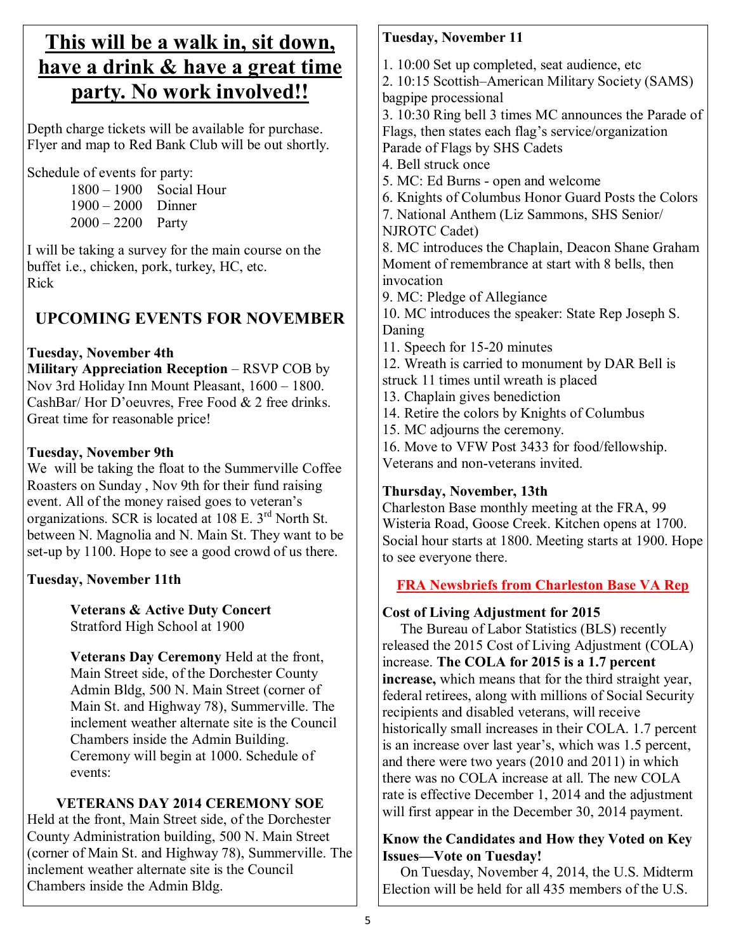# **This will be a walk in, sit down, have a drink & have a great time party. No work involved!!**

Depth charge tickets will be available for purchase. Flyer and map to Red Bank Club will be out shortly.

Schedule of events for party:

1800 – 1900 Social Hour 1900 – 2000 Dinner  $2000 - 2200$  Party

I will be taking a survey for the main course on the buffet i.e., chicken, pork, turkey, HC, etc. Rick

# **UPCOMING EVENTS FOR NOVEMBER**

### **Tuesday, November 4th**

**Military Appreciation Reception** – RSVP COB by Nov 3rd Holiday Inn Mount Pleasant, 1600 – 1800. CashBar/ Hor D'oeuvres, Free Food & 2 free drinks. Great time for reasonable price!

### **Tuesday, November 9th**

We will be taking the float to the Summerville Coffee Roasters on Sunday , Nov 9th for their fund raising event. All of the money raised goes to veteran's organizations. SCR is located at 108 E. 3rd North St. between N. Magnolia and N. Main St. They want to be set-up by 1100. Hope to see a good crowd of us there.

# **Tuesday, November 11th**

**Veterans & Active Duty Concert** Stratford High School at 1900

**Veterans Day Ceremony** Held at the front, Main Street side, of the Dorchester County Admin Bldg, 500 N. Main Street (corner of Main St. and Highway 78), Summerville. The inclement weather alternate site is the Council Chambers inside the Admin Building. Ceremony will begin at 1000. Schedule of events:

# **VETERANS DAY 2014 CEREMONY SOE**

Held at the front, Main Street side, of the Dorchester County Administration building, 500 N. Main Street (corner of Main St. and Highway 78), Summerville. The inclement weather alternate site is the Council Chambers inside the Admin Bldg.

### **Tuesday, November 11**

1. 10:00 Set up completed, seat audience, etc

2. 10:15 Scottish–American Military Society (SAMS) bagpipe processional

3. 10:30 Ring bell 3 times MC announces the Parade of Flags, then states each flag's service/organization Parade of Flags by SHS Cadets

- 4. Bell struck once
- 5. MC: Ed Burns open and welcome
- 6. Knights of Columbus Honor Guard Posts the Colors
- 7. National Anthem (Liz Sammons, SHS Senior/ NJROTC Cadet)

8. MC introduces the Chaplain, Deacon Shane Graham Moment of remembrance at start with 8 bells, then invocation

9. MC: Pledge of Allegiance

10. MC introduces the speaker: State Rep Joseph S. Daning

11. Speech for 15-20 minutes

12. Wreath is carried to monument by DAR Bell is struck 11 times until wreath is placed

- 13. Chaplain gives benediction
- 14. Retire the colors by Knights of Columbus
- 15. MC adjourns the ceremony.

16. Move to VFW Post 3433 for food/fellowship.

Veterans and non-veterans invited.

# **Thursday, November, 13th**

Charleston Base monthly meeting at the FRA, 99 Wisteria Road, Goose Creek. Kitchen opens at 1700. Social hour starts at 1800. Meeting starts at 1900. Hope to see everyone there.

# **FRA Newsbriefs from Charleston Base VA Rep**

# **Cost of Living Adjustment for 2015**

 The Bureau of Labor Statistics (BLS) recently released the 2015 Cost of Living Adjustment (COLA) increase. **The COLA for 2015 is a 1.7 percent increase,** which means that for the third straight year, federal retirees, along with millions of Social Security recipients and disabled veterans, will receive historically small increases in their COLA. 1.7 percent is an increase over last year's, which was 1.5 percent, and there were two years (2010 and 2011) in which there was no COLA increase at all. The new COLA rate is effective December 1, 2014 and the adjustment will first appear in the December 30, 2014 payment.

### **Know the Candidates and How they Voted on Key Issues—Vote on Tuesday!**

 On Tuesday, November 4, 2014, the U.S. Midterm Election will be held for all 435 members of the U.S.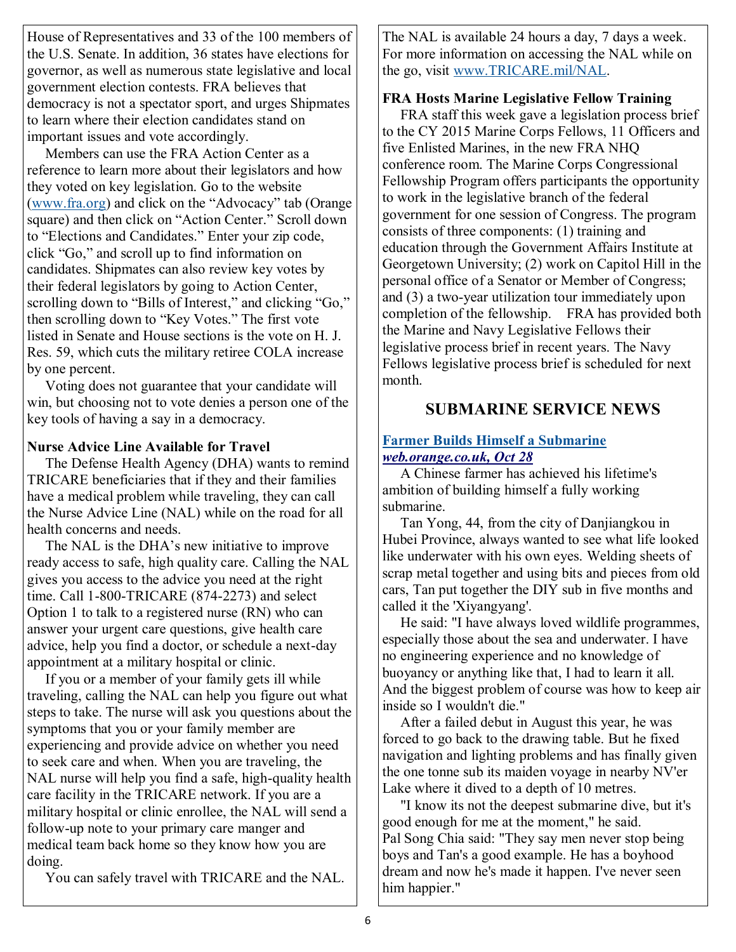House of Representatives and 33 of the 100 members of the U.S. Senate. In addition, 36 states have elections for governor, as well as numerous state legislative and local government election contests. FRA believes that democracy is not a spectator sport, and urges Shipmates to learn where their election candidates stand on important issues and vote accordingly.

 Members can use the FRA Action Center as a reference to learn more about their legislators and how they voted on key legislation. Go to the website ([www.fra.org\)](http://cqrcengage.com/fra/app/thru?ep=AAAAC2Flc0NpcGhlcjAxruJubeHSYTth0CctY_-M97Rw4w5rv9HlZlRP0GzKjE4204lJA2KTwbRAJ-Crrkl4sui77Brhy8fo9o6aAY9QTFkMBfJ6gzN2aN0iFpEMg7gUdUVWIBgMI6ca7zMpBuGz&lp=0) and click on the "Advocacy" tab (Orange square) and then click on "Action Center." Scroll down to "Elections and Candidates." Enter your zip code, click "Go," and scroll up to find information on candidates. Shipmates can also review key votes by their federal legislators by going to Action Center, scrolling down to "Bills of Interest," and clicking "Go," then scrolling down to "Key Votes." The first vote listed in Senate and House sections is the vote on H. J. Res. 59, which cuts the military retiree COLA increase by one percent.

 Voting does not guarantee that your candidate will win, but choosing not to vote denies a person one of the key tools of having a say in a democracy.

#### **Nurse Advice Line Available for Travel**

 The Defense Health Agency (DHA) wants to remind TRICARE beneficiaries that if they and their families have a medical problem while traveling, they can call the Nurse Advice Line (NAL) while on the road for all health concerns and needs.

 The NAL is the DHA's new initiative to improve ready access to safe, high quality care. Calling the NAL gives you access to the advice you need at the right time. Call 1-800-TRICARE (874-2273) and select Option 1 to talk to a registered nurse (RN) who can answer your urgent care questions, give health care advice, help you find a doctor, or schedule a next-day appointment at a military hospital or clinic.

 If you or a member of your family gets ill while traveling, calling the NAL can help you figure out what steps to take. The nurse will ask you questions about the symptoms that you or your family member are experiencing and provide advice on whether you need to seek care and when. When you are traveling, the NAL nurse will help you find a safe, high-quality health care facility in the TRICARE network. If you are a military hospital or clinic enrollee, the NAL will send a follow-up note to your primary care manger and medical team back home so they know how you are doing.

You can safely travel with TRICARE and the NAL.

The NAL is available 24 hours a day, 7 days a week. For more information on accessing the NAL while on the go, visit [www.TRICARE.mil/NAL.](http://cqrcengage.com/fra/app/thru?ep=AAAAC2Flc0NpcGhlcjAxeCOLuP-_6OG2tJPWEk3_jbWfFlq7r4EwrYoeQv_HmVhOZjYEN3yIBsqXaq44u_jI37okNBOQl48V1wYGh5BQ2L4MO0YKa-oihT8GocXcglZgieuDwUCdB5fJiie8iw5WtZppAlcQIvhA8s_uJWwcwQ&lp=0)

#### **FRA Hosts Marine Legislative Fellow Training**

 FRA staff this week gave a legislation process brief to the CY 2015 Marine Corps Fellows, 11 Officers and five Enlisted Marines, in the new FRA NHQ conference room. The Marine Corps Congressional Fellowship Program offers participants the opportunity to work in the legislative branch of the federal government for one session of Congress. The program consists of three components: (1) training and education through the Government Affairs Institute at Georgetown University; (2) work on Capitol Hill in the personal office of a Senator or Member of Congress; and (3) a two-year utilization tour immediately upon completion of the fellowship. FRA has provided both the Marine and Navy Legislative Fellows their legislative process brief in recent years. The Navy Fellows legislative process brief is scheduled for next month.

### **SUBMARINE SERVICE NEWS**

#### **Farmer Builds Himself a Submarine** *web.orange.co.uk, Oct 28*

 A Chinese farmer has achieved his lifetime's ambition of building himself a fully working submarine.

 Tan Yong, 44, from the city of Danjiangkou in Hubei Province, always wanted to see what life looked like underwater with his own eyes. Welding sheets of scrap metal together and using bits and pieces from old cars, Tan put together the DIY sub in five months and called it the 'Xiyangyang'.

 He said: "I have always loved wildlife programmes, especially those about the sea and underwater. I have no engineering experience and no knowledge of buoyancy or anything like that, I had to learn it all. And the biggest problem of course was how to keep air inside so I wouldn't die."

 After a failed debut in August this year, he was forced to go back to the drawing table. But he fixed navigation and lighting problems and has finally given the one tonne sub its maiden voyage in nearby NV'er Lake where it dived to a depth of 10 metres.

 "I know its not the deepest submarine dive, but it's good enough for me at the moment," he said. Pal Song Chia said: "They say men never stop being boys and Tan's a good example. He has a boyhood dream and now he's made it happen. I've never seen him happier."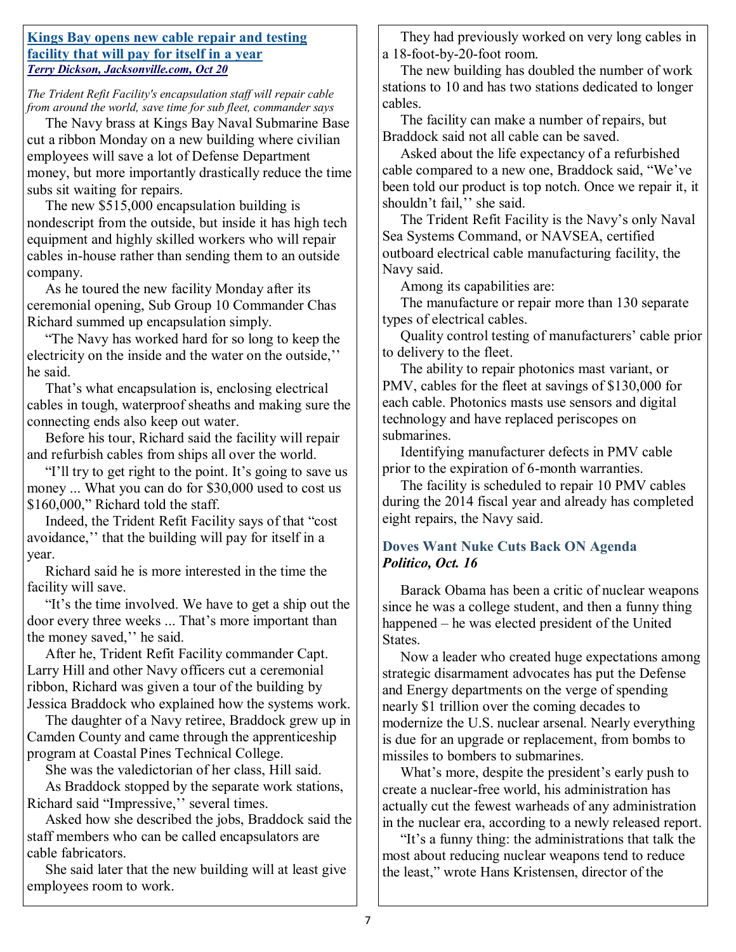#### **Kings Bay opens new cable repair and testing facility that will pay for itself in a year** *Terry Dickson, Jacksonville.com, Oct 20*

*The Trident Refit Facility's encapsulation staff will repair cable from around the world, save time for sub fleet, commander says*

 The Navy brass at Kings Bay Naval Submarine Base cut a ribbon Monday on a new building where civilian employees will save a lot of Defense Department money, but more importantly drastically reduce the time subs sit waiting for repairs.

 The new \$515,000 encapsulation building is nondescript from the outside, but inside it has high tech equipment and highly skilled workers who will repair cables in-house rather than sending them to an outside company.

 As he toured the new facility Monday after its ceremonial opening, Sub Group 10 Commander Chas Richard summed up encapsulation simply.

 ―The Navy has worked hard for so long to keep the electricity on the inside and the water on the outside,'' he said.

 That's what encapsulation is, enclosing electrical cables in tough, waterproof sheaths and making sure the connecting ends also keep out water.

 Before his tour, Richard said the facility will repair and refurbish cables from ships all over the world.

"I'll try to get right to the point. It's going to save us money ... What you can do for \$30,000 used to cost us  $$160,000$ ." Richard told the staff.

Indeed, the Trident Refit Facility says of that "cost" avoidance,'' that the building will pay for itself in a year.

 Richard said he is more interested in the time the facility will save.

"It's the time involved. We have to get a ship out the door every three weeks ... That's more important than the money saved,'' he said.

 After he, Trident Refit Facility commander Capt. Larry Hill and other Navy officers cut a ceremonial ribbon, Richard was given a tour of the building by Jessica Braddock who explained how the systems work.

 The daughter of a Navy retiree, Braddock grew up in Camden County and came through the apprenticeship program at Coastal Pines Technical College.

 She was the valedictorian of her class, Hill said. As Braddock stopped by the separate work stations, Richard said "Impressive," several times.

 Asked how she described the jobs, Braddock said the staff members who can be called encapsulators are cable fabricators.

 She said later that the new building will at least give employees room to work.

 They had previously worked on very long cables in a 18-foot-by-20-foot room.

 The new building has doubled the number of work stations to 10 and has two stations dedicated to longer cables.

 The facility can make a number of repairs, but Braddock said not all cable can be saved.

 Asked about the life expectancy of a refurbished cable compared to a new one, Braddock said, "We've been told our product is top notch. Once we repair it, it shouldn't fail,'' she said.

 The Trident Refit Facility is the Navy's only Naval Sea Systems Command, or NAVSEA, certified outboard electrical cable manufacturing facility, the Navy said.

Among its capabilities are:

 The manufacture or repair more than 130 separate types of electrical cables.

 Quality control testing of manufacturers' cable prior to delivery to the fleet.

 The ability to repair photonics mast variant, or PMV, cables for the fleet at savings of \$130,000 for each cable. Photonics masts use sensors and digital technology and have replaced periscopes on submarines.

 Identifying manufacturer defects in PMV cable prior to the expiration of 6-month warranties.

 The facility is scheduled to repair 10 PMV cables during the 2014 fiscal year and already has completed eight repairs, the Navy said.

### **Doves Want Nuke Cuts Back ON Agenda** *Politico, Oct. 16*

 Barack Obama has been a critic of nuclear weapons since he was a college student, and then a funny thing happened – he was elected president of the United States.

 Now a leader who created huge expectations among strategic disarmament advocates has put the Defense and Energy departments on the verge of spending nearly \$1 trillion over the coming decades to modernize the U.S. nuclear arsenal. Nearly everything is due for an upgrade or replacement, from bombs to missiles to bombers to submarines.

 What's more, despite the president's early push to create a nuclear-free world, his administration has actually cut the fewest warheads of any administration in the nuclear era, according to a newly released report.

"It's a funny thing: the administrations that talk the most about reducing nuclear weapons tend to reduce the least," wrote Hans Kristensen, director of the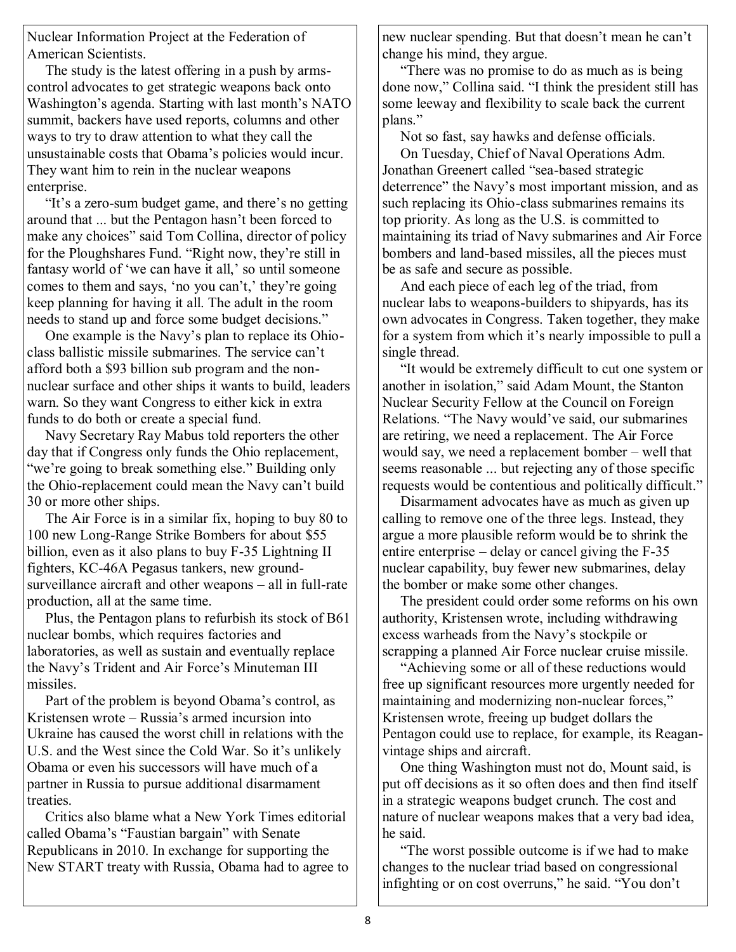Nuclear Information Project at the Federation of American Scientists.

 The study is the latest offering in a push by armscontrol advocates to get strategic weapons back onto Washington's agenda. Starting with last month's NATO summit, backers have used reports, columns and other ways to try to draw attention to what they call the unsustainable costs that Obama's policies would incur. They want him to rein in the nuclear weapons enterprise.

"It's a zero-sum budget game, and there's no getting around that ... but the Pentagon hasn't been forced to make any choices" said Tom Collina, director of policy for the Ploughshares Fund. "Right now, they're still in fantasy world of 'we can have it all,' so until someone comes to them and says, 'no you can't,' they're going keep planning for having it all. The adult in the room needs to stand up and force some budget decisions."

 One example is the Navy's plan to replace its Ohioclass ballistic missile submarines. The service can't afford both a \$93 billion sub program and the nonnuclear surface and other ships it wants to build, leaders warn. So they want Congress to either kick in extra funds to do both or create a special fund.

 Navy Secretary Ray Mabus told reporters the other day that if Congress only funds the Ohio replacement, "we're going to break something else." Building only the Ohio-replacement could mean the Navy can't build 30 or more other ships.

 The Air Force is in a similar fix, hoping to buy 80 to 100 new Long-Range Strike Bombers for about \$55 billion, even as it also plans to buy F-35 Lightning II fighters, KC-46A Pegasus tankers, new groundsurveillance aircraft and other weapons – all in full-rate production, all at the same time.

 Plus, the Pentagon plans to refurbish its stock of B61 nuclear bombs, which requires factories and laboratories, as well as sustain and eventually replace the Navy's Trident and Air Force's Minuteman III missiles.

 Part of the problem is beyond Obama's control, as Kristensen wrote – Russia's armed incursion into Ukraine has caused the worst chill in relations with the U.S. and the West since the Cold War. So it's unlikely Obama or even his successors will have much of a partner in Russia to pursue additional disarmament treaties.

 Critics also blame what a New York Times editorial called Obama's "Faustian bargain" with Senate Republicans in 2010. In exchange for supporting the New START treaty with Russia, Obama had to agree to new nuclear spending. But that doesn't mean he can't change his mind, they argue.

 ―There was no promise to do as much as is being done now," Collina said. "I think the president still has some leeway and flexibility to scale back the current plans."

 Not so fast, say hawks and defense officials. On Tuesday, Chief of Naval Operations Adm. Jonathan Greenert called "sea-based strategic deterrence" the Navy's most important mission, and as such replacing its Ohio-class submarines remains its top priority. As long as the U.S. is committed to maintaining its triad of Navy submarines and Air Force bombers and land-based missiles, all the pieces must be as safe and secure as possible.

 And each piece of each leg of the triad, from nuclear labs to weapons-builders to shipyards, has its own advocates in Congress. Taken together, they make for a system from which it's nearly impossible to pull a single thread.

 ―It would be extremely difficult to cut one system or another in isolation," said Adam Mount, the Stanton Nuclear Security Fellow at the Council on Foreign Relations. "The Navy would've said, our submarines are retiring, we need a replacement. The Air Force would say, we need a replacement bomber – well that seems reasonable ... but rejecting any of those specific requests would be contentious and politically difficult."

 Disarmament advocates have as much as given up calling to remove one of the three legs. Instead, they argue a more plausible reform would be to shrink the entire enterprise – delay or cancel giving the F-35 nuclear capability, buy fewer new submarines, delay the bomber or make some other changes.

 The president could order some reforms on his own authority, Kristensen wrote, including withdrawing excess warheads from the Navy's stockpile or scrapping a planned Air Force nuclear cruise missile.

"Achieving some or all of these reductions would free up significant resources more urgently needed for maintaining and modernizing non-nuclear forces," Kristensen wrote, freeing up budget dollars the Pentagon could use to replace, for example, its Reaganvintage ships and aircraft.

 One thing Washington must not do, Mount said, is put off decisions as it so often does and then find itself in a strategic weapons budget crunch. The cost and nature of nuclear weapons makes that a very bad idea, he said.

 ―The worst possible outcome is if we had to make changes to the nuclear triad based on congressional infighting or on cost overruns," he said. "You don't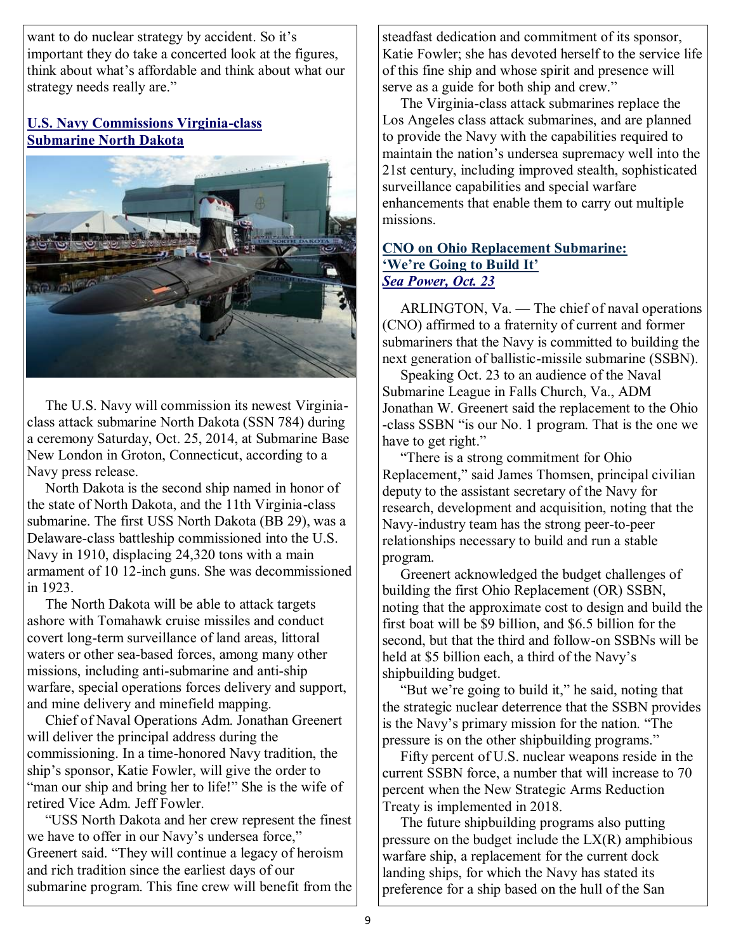want to do nuclear strategy by accident. So it's important they do take a concerted look at the figures, think about what's affordable and think about what our strategy needs really are."

#### **U.S. Navy Commissions Virginia-class Submarine North Dakota**



The U.S. Navy will commission its newest Virginiaclass attack submarine North Dakota (SSN 784) during a ceremony Saturday, Oct. 25, 2014, at Submarine Base New London in Groton, Connecticut, according to a Navy press release.

 North Dakota is the second ship named in honor of the state of North Dakota, and the 11th Virginia-class submarine. The first USS North Dakota (BB 29), was a Delaware-class battleship commissioned into the U.S. Navy in 1910, displacing 24,320 tons with a main armament of 10 12-inch guns. She was decommissioned in 1923.

 The North Dakota will be able to attack targets ashore with Tomahawk cruise missiles and conduct covert long-term surveillance of land areas, littoral waters or other sea-based forces, among many other missions, including anti-submarine and anti-ship warfare, special operations forces delivery and support, and mine delivery and minefield mapping.

 Chief of Naval Operations Adm. Jonathan Greenert will deliver the principal address during the commissioning. In a time-honored Navy tradition, the ship's sponsor, Katie Fowler, will give the order to "man our ship and bring her to life!" She is the wife of retired Vice Adm. Jeff Fowler.

 ―USS North Dakota and her crew represent the finest we have to offer in our Navy's undersea force," Greenert said. "They will continue a legacy of heroism and rich tradition since the earliest days of our submarine program. This fine crew will benefit from the steadfast dedication and commitment of its sponsor, Katie Fowler; she has devoted herself to the service life of this fine ship and whose spirit and presence will serve as a guide for both ship and crew."

 The Virginia-class attack submarines replace the Los Angeles class attack submarines, and are planned to provide the Navy with the capabilities required to maintain the nation's undersea supremacy well into the 21st century, including improved stealth, sophisticated surveillance capabilities and special warfare enhancements that enable them to carry out multiple missions.

#### **CNO on Ohio Replacement Submarine: 'We're Going to Build It'** *Sea Power, Oct. 23*

ARLINGTON, Va. — The chief of naval operations (CNO) affirmed to a fraternity of current and former submariners that the Navy is committed to building the next generation of ballistic-missile submarine (SSBN).

 Speaking Oct. 23 to an audience of the Naval Submarine League in Falls Church, Va., ADM Jonathan W. Greenert said the replacement to the Ohio -class SSBN "is our No. 1 program. That is the one we have to get right."

 ―There is a strong commitment for Ohio Replacement," said James Thomsen, principal civilian deputy to the assistant secretary of the Navy for research, development and acquisition, noting that the Navy-industry team has the strong peer-to-peer relationships necessary to build and run a stable program.

 Greenert acknowledged the budget challenges of building the first Ohio Replacement (OR) SSBN, noting that the approximate cost to design and build the first boat will be \$9 billion, and \$6.5 billion for the second, but that the third and follow-on SSBNs will be held at \$5 billion each, a third of the Navy's shipbuilding budget.

"But we're going to build it," he said, noting that the strategic nuclear deterrence that the SSBN provides is the Navy's primary mission for the nation. "The pressure is on the other shipbuilding programs."

 Fifty percent of U.S. nuclear weapons reside in the current SSBN force, a number that will increase to 70 percent when the New Strategic Arms Reduction Treaty is implemented in 2018.

 The future shipbuilding programs also putting pressure on the budget include the  $LX(R)$  amphibious warfare ship, a replacement for the current dock landing ships, for which the Navy has stated its preference for a ship based on the hull of the San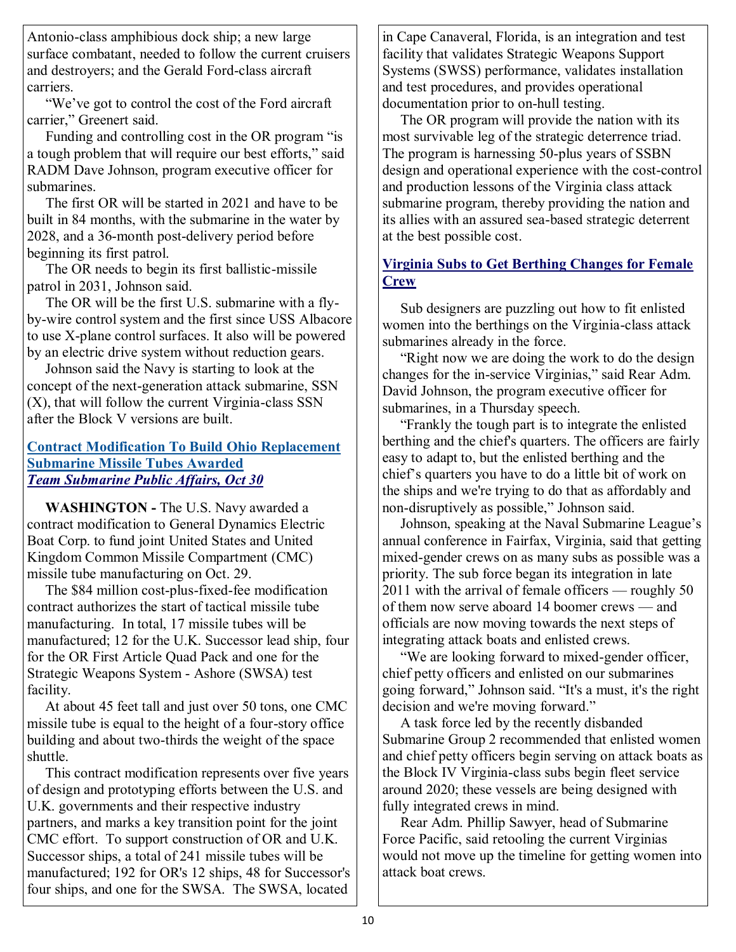Antonio-class amphibious dock ship; a new large surface combatant, needed to follow the current cruisers and destroyers; and the Gerald Ford-class aircraft carriers.

 ―We've got to control the cost of the Ford aircraft carrier," Greenert said.

Funding and controlling cost in the OR program "is" a tough problem that will require our best efforts," said RADM Dave Johnson, program executive officer for submarines.

 The first OR will be started in 2021 and have to be built in 84 months, with the submarine in the water by 2028, and a 36-month post-delivery period before beginning its first patrol.

 The OR needs to begin its first ballistic-missile patrol in 2031, Johnson said.

 The OR will be the first U.S. submarine with a flyby-wire control system and the first since USS Albacore to use X-plane control surfaces. It also will be powered by an electric drive system without reduction gears.

 Johnson said the Navy is starting to look at the concept of the next-generation attack submarine, SSN (X), that will follow the current Virginia-class SSN after the Block V versions are built.

#### **Contract Modification To Build Ohio Replacement Submarine Missile Tubes Awarded** *Team Submarine Public Affairs, Oct 30*

**WASHINGTON -** The U.S. Navy awarded a contract modification to General Dynamics Electric Boat Corp. to fund joint United States and United Kingdom Common Missile Compartment (CMC) missile tube manufacturing on Oct. 29.

 The \$84 million cost-plus-fixed-fee modification contract authorizes the start of tactical missile tube manufacturing. In total, 17 missile tubes will be manufactured; 12 for the U.K. Successor lead ship, four for the OR First Article Quad Pack and one for the Strategic Weapons System - Ashore (SWSA) test facility.

 At about 45 feet tall and just over 50 tons, one CMC missile tube is equal to the height of a four-story office building and about two-thirds the weight of the space shuttle.

 This contract modification represents over five years of design and prototyping efforts between the U.S. and U.K. governments and their respective industry partners, and marks a key transition point for the joint CMC effort. To support construction of OR and U.K. Successor ships, a total of 241 missile tubes will be manufactured; 192 for OR's 12 ships, 48 for Successor's four ships, and one for the SWSA. The SWSA, located

in Cape Canaveral, Florida, is an integration and test facility that validates Strategic Weapons Support Systems (SWSS) performance, validates installation and test procedures, and provides operational documentation prior to on-hull testing.

 The OR program will provide the nation with its most survivable leg of the strategic deterrence triad. The program is harnessing 50-plus years of SSBN design and operational experience with the cost-control and production lessons of the Virginia class attack submarine program, thereby providing the nation and its allies with an assured sea-based strategic deterrent at the best possible cost.

#### **Virginia Subs to Get Berthing Changes for Female Crew**

Sub designers are puzzling out how to fit enlisted women into the berthings on the Virginia-class attack submarines already in the force.

"Right now we are doing the work to do the design changes for the in-service Virginias," said Rear Adm. David Johnson, the program executive officer for submarines, in a Thursday speech.

 ―Frankly the tough part is to integrate the enlisted berthing and the chief's quarters. The officers are fairly easy to adapt to, but the enlisted berthing and the chief's quarters you have to do a little bit of work on the ships and we're trying to do that as affordably and non-disruptively as possible," Johnson said.

 Johnson, speaking at the Naval Submarine League's annual conference in Fairfax, Virginia, said that getting mixed-gender crews on as many subs as possible was a priority. The sub force began its integration in late 2011 with the arrival of female officers — roughly 50 of them now serve aboard 14 boomer crews — and officials are now moving towards the next steps of integrating attack boats and enlisted crews.

 ―We are looking forward to mixed-gender officer, chief petty officers and enlisted on our submarines going forward," Johnson said. "It's a must, it's the right decision and we're moving forward."

 A task force led by the recently disbanded Submarine Group 2 recommended that enlisted women and chief petty officers begin serving on attack boats as the Block IV Virginia-class subs begin fleet service around 2020; these vessels are being designed with fully integrated crews in mind.

 Rear Adm. Phillip Sawyer, head of Submarine Force Pacific, said retooling the current Virginias would not move up the timeline for getting women into attack boat crews.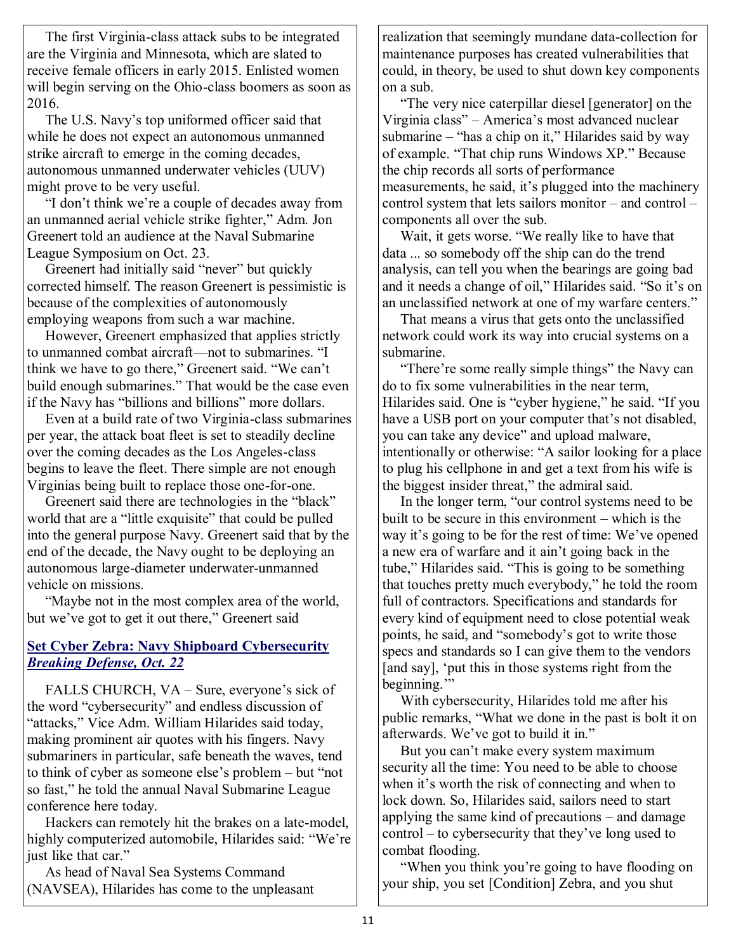The first Virginia-class attack subs to be integrated are the Virginia and Minnesota, which are slated to receive female officers in early 2015. Enlisted women will begin serving on the Ohio-class boomers as soon as 2016.

 The U.S. Navy's top uniformed officer said that while he does not expect an autonomous unmanned strike aircraft to emerge in the coming decades, autonomous unmanned underwater vehicles (UUV) might prove to be very useful.

"I don't think we're a couple of decades away from an unmanned aerial vehicle strike fighter," Adm. Jon Greenert told an audience at the Naval Submarine League Symposium on Oct. 23.

Greenert had initially said "never" but quickly corrected himself. The reason Greenert is pessimistic is because of the complexities of autonomously employing weapons from such a war machine.

 However, Greenert emphasized that applies strictly to unmanned combat aircraft—not to submarines. "I think we have to go there," Greenert said. "We can't build enough submarines." That would be the case even if the Navy has "billions and billions" more dollars.

 Even at a build rate of two Virginia-class submarines per year, the attack boat fleet is set to steadily decline over the coming decades as the Los Angeles-class begins to leave the fleet. There simple are not enough Virginias being built to replace those one-for-one.

Greenert said there are technologies in the "black" world that are a "little exquisite" that could be pulled into the general purpose Navy. Greenert said that by the end of the decade, the Navy ought to be deploying an autonomous large-diameter underwater-unmanned vehicle on missions.

"Maybe not in the most complex area of the world, but we've got to get it out there," Greenert said

#### **Set Cyber Zebra: Navy Shipboard Cybersecurity** *Breaking Defense, Oct. 22*

FALLS CHURCH, VA – Sure, everyone's sick of the word "cybersecurity" and endless discussion of "attacks," Vice Adm. William Hilarides said today, making prominent air quotes with his fingers. Navy submariners in particular, safe beneath the waves, tend to think of cyber as someone else's problem  $-$  but "not" so fast," he told the annual Naval Submarine League conference here today.

 Hackers can remotely hit the brakes on a late-model, highly computerized automobile, Hilarides said: "We're just like that car."

 As head of Naval Sea Systems Command (NAVSEA), Hilarides has come to the unpleasant realization that seemingly mundane data-collection for maintenance purposes has created vulnerabilities that could, in theory, be used to shut down key components on a sub.

 ―The very nice caterpillar diesel [generator] on the Virginia class" – America's most advanced nuclear submarine – "has a chip on it," Hilarides said by way of example. "That chip runs Windows XP." Because the chip records all sorts of performance measurements, he said, it's plugged into the machinery control system that lets sailors monitor – and control – components all over the sub.

Wait, it gets worse. "We really like to have that data ... so somebody off the ship can do the trend analysis, can tell you when the bearings are going bad and it needs a change of oil," Hilarides said. "So it's on an unclassified network at one of my warfare centers."

 That means a virus that gets onto the unclassified network could work its way into crucial systems on a submarine.

"There're some really simple things" the Navy can do to fix some vulnerabilities in the near term, Hilarides said. One is "cyber hygiene," he said. "If you have a USB port on your computer that's not disabled, you can take any device" and upload malware, intentionally or otherwise: "A sailor looking for a place to plug his cellphone in and get a text from his wife is the biggest insider threat," the admiral said.

In the longer term, "our control systems need to be built to be secure in this environment – which is the way it's going to be for the rest of time: We've opened a new era of warfare and it ain't going back in the tube," Hilarides said. "This is going to be something that touches pretty much everybody," he told the room full of contractors. Specifications and standards for every kind of equipment need to close potential weak points, he said, and "somebody's got to write those specs and standards so I can give them to the vendors [and say], 'put this in those systems right from the beginning."

 With cybersecurity, Hilarides told me after his public remarks, "What we done in the past is bolt it on afterwards. We've got to build it in."

 But you can't make every system maximum security all the time: You need to be able to choose when it's worth the risk of connecting and when to lock down. So, Hilarides said, sailors need to start applying the same kind of precautions – and damage control – to cybersecurity that they've long used to combat flooding.

"When you think you're going to have flooding on your ship, you set [Condition] Zebra, and you shut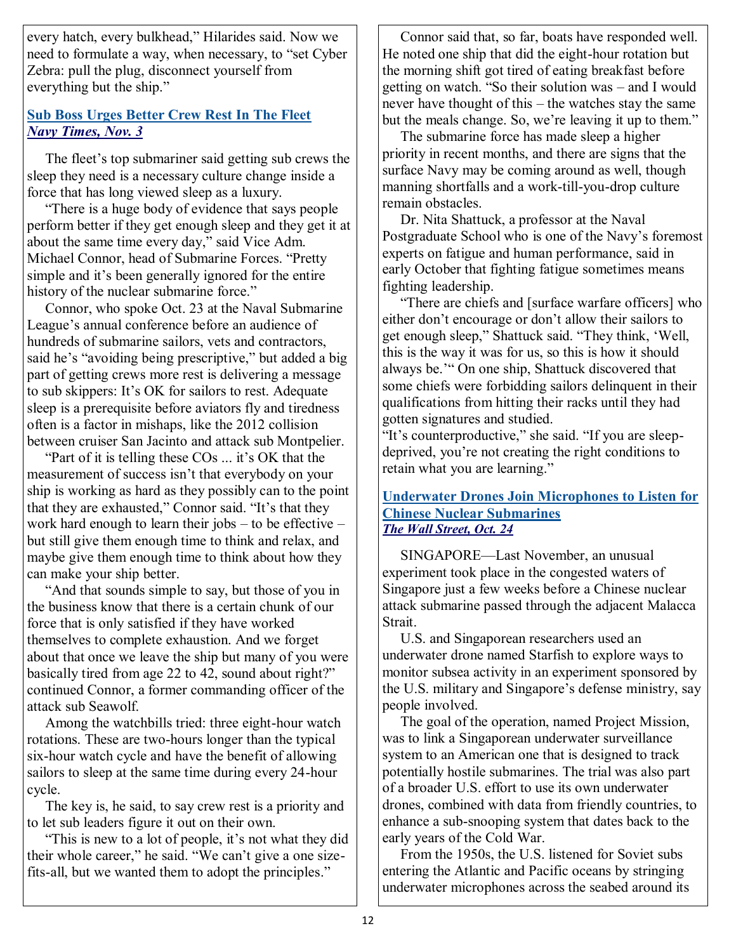every hatch, every bulkhead," Hilarides said. Now we need to formulate a way, when necessary, to "set Cyber Zebra: pull the plug, disconnect yourself from everything but the ship."

#### **Sub Boss Urges Better Crew Rest In The Fleet**  *Navy Times, Nov. 3*

 The fleet's top submariner said getting sub crews the sleep they need is a necessary culture change inside a force that has long viewed sleep as a luxury.

 ―There is a huge body of evidence that says people perform better if they get enough sleep and they get it at about the same time every day," said Vice Adm. Michael Connor, head of Submarine Forces. "Pretty simple and it's been generally ignored for the entire history of the nuclear submarine force."

 Connor, who spoke Oct. 23 at the Naval Submarine League's annual conference before an audience of hundreds of submarine sailors, vets and contractors, said he's "avoiding being prescriptive," but added a big part of getting crews more rest is delivering a message to sub skippers: It's OK for sailors to rest. Adequate sleep is a prerequisite before aviators fly and tiredness often is a factor in mishaps, like the 2012 collision between cruiser San Jacinto and attack sub Montpelier.

"Part of it is telling these  $\cos$  ... it's OK that the measurement of success isn't that everybody on your ship is working as hard as they possibly can to the point that they are exhausted," Connor said. "It's that they work hard enough to learn their jobs – to be effective – but still give them enough time to think and relax, and maybe give them enough time to think about how they can make your ship better.

"And that sounds simple to say, but those of you in the business know that there is a certain chunk of our force that is only satisfied if they have worked themselves to complete exhaustion. And we forget about that once we leave the ship but many of you were basically tired from age 22 to 42, sound about right?" continued Connor, a former commanding officer of the attack sub Seawolf.

 Among the watchbills tried: three eight-hour watch rotations. These are two-hours longer than the typical six-hour watch cycle and have the benefit of allowing sailors to sleep at the same time during every 24-hour cycle.

 The key is, he said, to say crew rest is a priority and to let sub leaders figure it out on their own.

 ―This is new to a lot of people, it's not what they did their whole career," he said. "We can't give a one sizefits-all, but we wanted them to adopt the principles."

 Connor said that, so far, boats have responded well. He noted one ship that did the eight-hour rotation but the morning shift got tired of eating breakfast before getting on watch. "So their solution was – and I would never have thought of this – the watches stay the same but the meals change. So, we're leaving it up to them."

 The submarine force has made sleep a higher priority in recent months, and there are signs that the surface Navy may be coming around as well, though manning shortfalls and a work-till-you-drop culture remain obstacles.

 Dr. Nita Shattuck, a professor at the Naval Postgraduate School who is one of the Navy's foremost experts on fatigue and human performance, said in early October that fighting fatigue sometimes means fighting leadership.

 ―There are chiefs and [surface warfare officers] who either don't encourage or don't allow their sailors to get enough sleep," Shattuck said. "They think, 'Well, this is the way it was for us, so this is how it should always be.'" On one ship, Shattuck discovered that some chiefs were forbidding sailors delinquent in their qualifications from hitting their racks until they had gotten signatures and studied.

"It's counterproductive," she said. "If you are sleepdeprived, you're not creating the right conditions to retain what you are learning."

#### **Underwater Drones Join Microphones to Listen for Chinese Nuclear Submarines** *The Wall Street, Oct. 24*

SINGAPORE—Last November, an unusual experiment took place in the congested waters of Singapore just a few weeks before a Chinese nuclear attack submarine passed through the adjacent Malacca Strait.

 U.S. and Singaporean researchers used an underwater drone named Starfish to explore ways to monitor subsea activity in an experiment sponsored by the U.S. military and Singapore's defense ministry, say people involved.

 The goal of the operation, named Project Mission, was to link a Singaporean underwater surveillance system to an American one that is designed to track potentially hostile submarines. The trial was also part of a broader U.S. effort to use its own underwater drones, combined with data from friendly countries, to enhance a sub-snooping system that dates back to the early years of the Cold War.

 From the 1950s, the U.S. listened for Soviet subs entering the Atlantic and Pacific oceans by stringing underwater microphones across the seabed around its